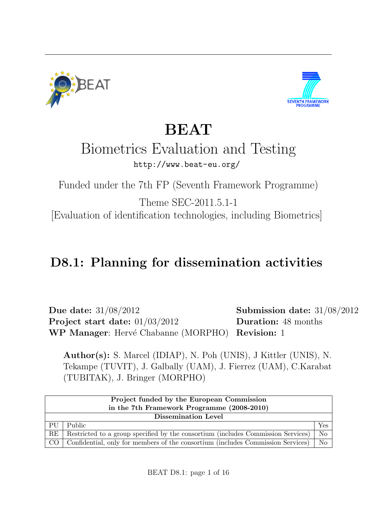



# BEAT

# Biometrics Evaluation and Testing <http://www.beat-eu.org/>

Funded under the 7th FP (Seventh Framework Programme) Theme SEC-2011.5.1-1 [Evaluation of identification technologies, including Biometrics]

# D8.1: Planning for dissemination activities

**Due date:** 31/08/2012 **Submission date:** 31/08/2012 Project start date:  $01/03/2012$  Duration: 48 months WP Manager: Hervé Chabanne (MORPHO) Revision: 1

Author(s): S. Marcel (IDIAP), N. Poh (UNIS), J Kittler (UNIS), N. Tekampe (TUVIT), J. Galbally (UAM), J. Fierrez (UAM), C.Karabat (TUBITAK), J. Bringer (MORPHO)

|                                            | Project funded by the European Commission                                        |                |  |  |
|--------------------------------------------|----------------------------------------------------------------------------------|----------------|--|--|
| in the 7th Framework Programme (2008-2010) |                                                                                  |                |  |  |
| <b>Dissemination Level</b>                 |                                                                                  |                |  |  |
| PU                                         | Public                                                                           | Yes.           |  |  |
| RE                                         | Restricted to a group specified by the consortium (includes Commission Services) | N <sub>o</sub> |  |  |
| CO <sub>1</sub>                            | Confidential, only for members of the consortium (includes Commission Services)  | No             |  |  |

BEAT D8.1: page 1 of [16](#page-15-0)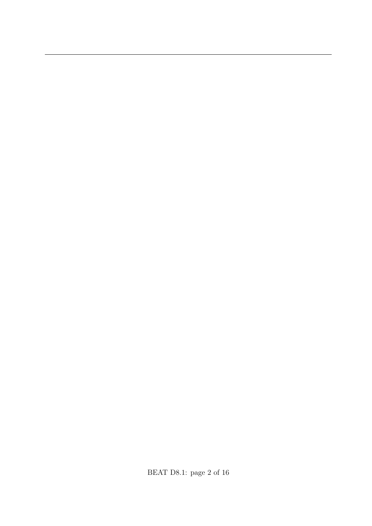BEAT D8.1: page 2 of [16](#page-15-0)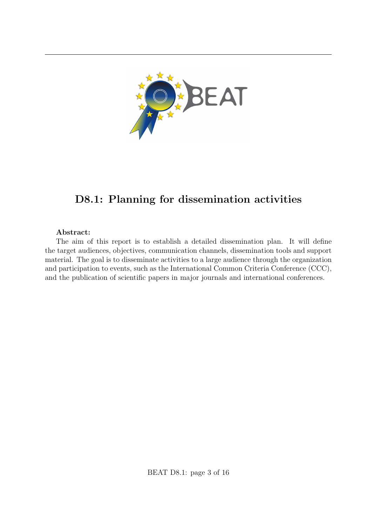

## D8.1: Planning for dissemination activities

#### Abstract:

The aim of this report is to establish a detailed dissemination plan. It will define the target audiences, objectives, communication channels, dissemination tools and support material. The goal is to disseminate activities to a large audience through the organization and participation to events, such as the International Common Criteria Conference (CCC), and the publication of scientific papers in major journals and international conferences.

BEAT D8.1: page 3 of [16](#page-15-0)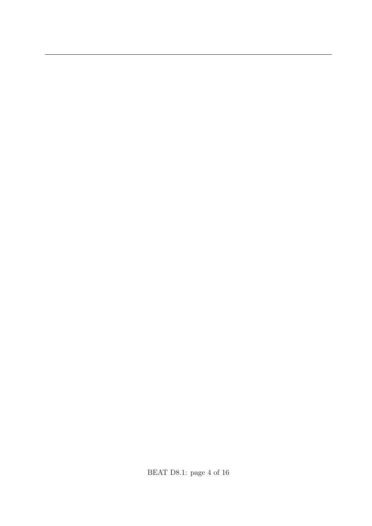BEAT D8.1: page 4 of [16](#page-15-0)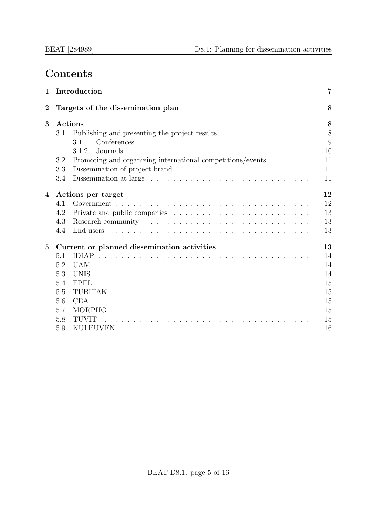## Contents

| $\mathbf{1}$   | Introduction                                                                                      | 7  |
|----------------|---------------------------------------------------------------------------------------------------|----|
| $\overline{2}$ | Targets of the dissemination plan                                                                 | 8  |
| 3              | Actions                                                                                           | 8  |
|                | 3.1                                                                                               | 8  |
|                | 3.1.1                                                                                             | 9  |
|                | 3.1.2                                                                                             | 10 |
|                | Promoting and organizing international competitions/events<br>3.2                                 | 11 |
|                | 3.3                                                                                               | 11 |
|                | Dissemination at large $\dots \dots \dots \dots \dots \dots \dots \dots \dots \dots \dots$<br>3.4 | 11 |
| 4              | Actions per target                                                                                | 12 |
|                | 4.1                                                                                               | 12 |
|                | 4.2                                                                                               | 13 |
|                | 4.3                                                                                               | 13 |
|                | 4.4                                                                                               | 13 |
| $\mathbf{5}$   | Current or planned dissemination activities                                                       | 13 |
|                | 5.1                                                                                               | 14 |
|                | 5.2                                                                                               | 14 |
|                | 5.3                                                                                               | 14 |
|                | 5.4<br>EPFL.                                                                                      | 15 |
|                | 5.5                                                                                               | 15 |
|                | 5.6                                                                                               | 15 |
|                | 5.7                                                                                               | 15 |
|                | <b>TUVIT</b><br>5.8                                                                               | 15 |
|                | 5.9                                                                                               | 16 |
|                |                                                                                                   |    |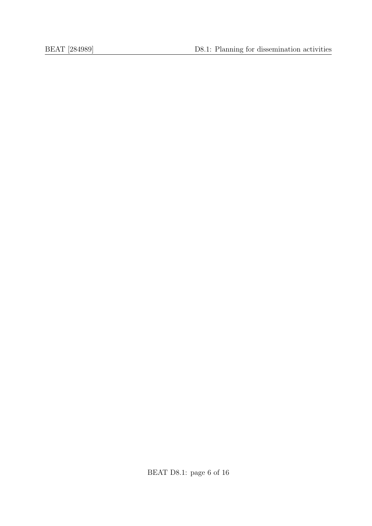BEAT D8.1: page 6 of [16](#page-15-0)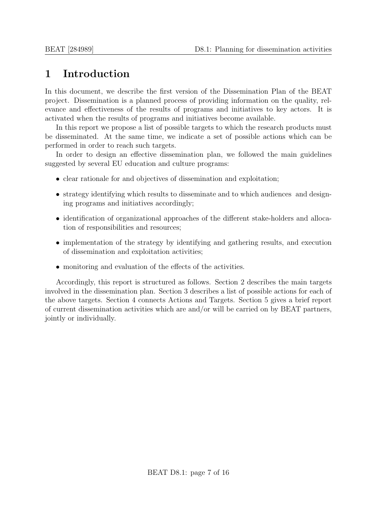## <span id="page-6-0"></span>1 Introduction

In this document, we describe the first version of the Dissemination Plan of the BEAT project. Dissemination is a planned process of providing information on the quality, relevance and effectiveness of the results of programs and initiatives to key actors. It is activated when the results of programs and initiatives become available.

In this report we propose a list of possible targets to which the research products must be disseminated. At the same time, we indicate a set of possible actions which can be performed in order to reach such targets.

In order to design an effective dissemination plan, we followed the main guidelines suggested by several EU education and culture programs:

- clear rationale for and objectives of dissemination and exploitation;
- strategy identifying which results to disseminate and to which audiences and designing programs and initiatives accordingly;
- identification of organizational approaches of the different stake-holders and allocation of responsibilities and resources;
- implementation of the strategy by identifying and gathering results, and execution of dissemination and exploitation activities;
- monitoring and evaluation of the effects of the activities.

Accordingly, this report is structured as follows. Section 2 describes the main targets involved in the dissemination plan. Section 3 describes a list of possible actions for each of the above targets. Section 4 connects Actions and Targets. Section 5 gives a brief report of current dissemination activities which are and/or will be carried on by BEAT partners, jointly or individually.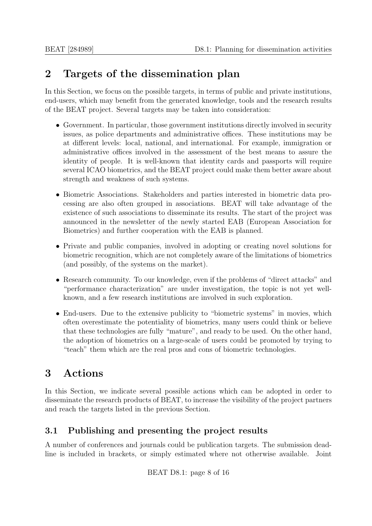## <span id="page-7-0"></span>2 Targets of the dissemination plan

In this Section, we focus on the possible targets, in terms of public and private institutions, end-users, which may benefit from the generated knowledge, tools and the research results of the BEAT project. Several targets may be taken into consideration:

- Government. In particular, those government institutions directly involved in security issues, as police departments and administrative offices. These institutions may be at different levels: local, national, and international. For example, immigration or administrative offices involved in the assessment of the best means to assure the identity of people. It is well-known that identity cards and passports will require several ICAO biometrics, and the BEAT project could make them better aware about strength and weakness of such systems.
- Biometric Associations. Stakeholders and parties interested in biometric data processing are also often grouped in associations. BEAT will take advantage of the existence of such associations to disseminate its results. The start of the project was announced in the newsletter of the newly started EAB (European Association for Biometrics) and further cooperation with the EAB is planned.
- Private and public companies, involved in adopting or creating novel solutions for biometric recognition, which are not completely aware of the limitations of biometrics (and possibly, of the systems on the market).
- Research community. To our knowledge, even if the problems of "direct attacks" and "performance characterization" are under investigation, the topic is not yet wellknown, and a few research institutions are involved in such exploration.
- End-users. Due to the extensive publicity to "biometric systems" in movies, which often overestimate the potentiality of biometrics, many users could think or believe that these technologies are fully "mature", and ready to be used. On the other hand, the adoption of biometrics on a large-scale of users could be promoted by trying to "teach" them which are the real pros and cons of biometric technologies.

## <span id="page-7-1"></span>3 Actions

In this Section, we indicate several possible actions which can be adopted in order to disseminate the research products of BEAT, to increase the visibility of the project partners and reach the targets listed in the previous Section.

## <span id="page-7-2"></span>3.1 Publishing and presenting the project results

A number of conferences and journals could be publication targets. The submission deadline is included in brackets, or simply estimated where not otherwise available. Joint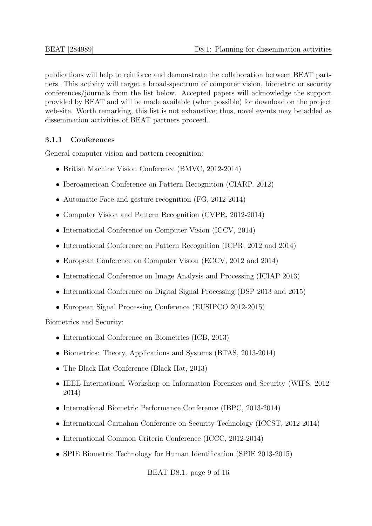publications will help to reinforce and demonstrate the collaboration between BEAT partners. This activity will target a broad-spectrum of computer vision, biometric or security conferences/journals from the list below. Accepted papers will acknowledge the support provided by BEAT and will be made available (when possible) for download on the project web-site. Worth remarking, this list is not exhaustive; thus, novel events may be added as dissemination activities of BEAT partners proceed.

#### <span id="page-8-0"></span>3.1.1 Conferences

General computer vision and pattern recognition:

- British Machine Vision Conference (BMVC, 2012-2014)
- Iberoamerican Conference on Pattern Recognition (CIARP, 2012)
- Automatic Face and gesture recognition (FG, 2012-2014)
- Computer Vision and Pattern Recognition (CVPR, 2012-2014)
- International Conference on Computer Vision (ICCV, 2014)
- International Conference on Pattern Recognition (ICPR, 2012 and 2014)
- European Conference on Computer Vision (ECCV, 2012 and 2014)
- International Conference on Image Analysis and Processing (ICIAP 2013)
- International Conference on Digital Signal Processing (DSP 2013 and 2015)
- European Signal Processing Conference (EUSIPCO 2012-2015)

Biometrics and Security:

- International Conference on Biometrics (ICB, 2013)
- Biometrics: Theory, Applications and Systems (BTAS, 2013-2014)
- The Black Hat Conference (Black Hat, 2013)
- IEEE International Workshop on Information Forensics and Security (WIFS, 2012- 2014)
- International Biometric Performance Conference (IBPC, 2013-2014)
- International Carnahan Conference on Security Technology (ICCST, 2012-2014)
- International Common Criteria Conference (ICCC, 2012-2014)
- SPIE Biometric Technology for Human Identification (SPIE 2013-2015)

BEAT D8.1: page 9 of [16](#page-15-0)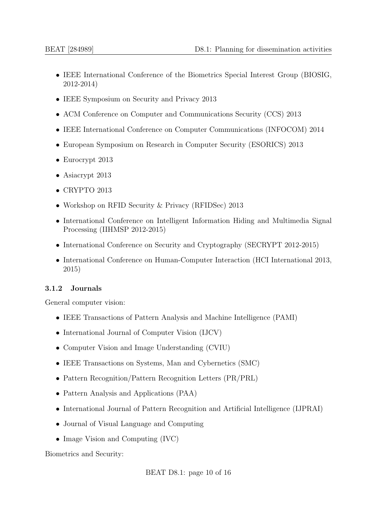- IEEE International Conference of the Biometrics Special Interest Group (BIOSIG, 2012-2014)
- IEEE Symposium on Security and Privacy 2013
- ACM Conference on Computer and Communications Security (CCS) 2013
- IEEE International Conference on Computer Communications (INFOCOM) 2014
- European Symposium on Research in Computer Security (ESORICS) 2013
- Eurocrypt 2013
- Asiacrypt 2013
- CRYPTO 2013
- Workshop on RFID Security & Privacy (RFIDSec) 2013
- International Conference on Intelligent Information Hiding and Multimedia Signal Processing (IIHMSP 2012-2015)
- International Conference on Security and Cryptography (SECRYPT 2012-2015)
- International Conference on Human-Computer Interaction (HCI International 2013, 2015)

#### <span id="page-9-0"></span>3.1.2 Journals

General computer vision:

- IEEE Transactions of Pattern Analysis and Machine Intelligence (PAMI)
- International Journal of Computer Vision (IJCV)
- Computer Vision and Image Understanding (CVIU)
- IEEE Transactions on Systems, Man and Cybernetics (SMC)
- Pattern Recognition/Pattern Recognition Letters (PR/PRL)
- Pattern Analysis and Applications (PAA)
- International Journal of Pattern Recognition and Artificial Intelligence (IJPRAI)
- Journal of Visual Language and Computing
- Image Vision and Computing (IVC)

Biometrics and Security: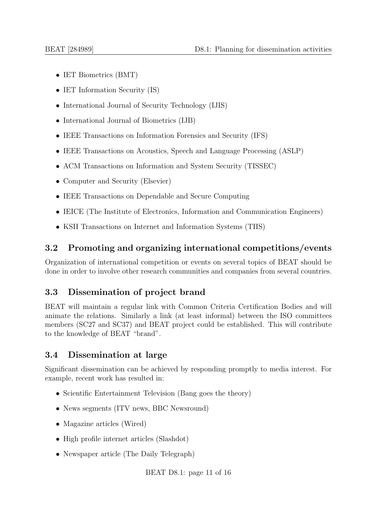- IET Biometrics (BMT)
- IET Information Security (IS)
- International Journal of Security Technology (IJIS)
- International Journal of Biometrics (IJB)
- IEEE Transactions on Information Forensics and Security (IFS)
- IEEE Transactions on Acoustics, Speech and Language Processing (ASLP)
- ACM Transactions on Information and System Security (TISSEC)
- Computer and Security (Elsevier)
- IEEE Transactions on Dependable and Secure Computing
- IEICE (The Institute of Electronics, Information and Communication Engineers)
- KSII Transactions on Internet and Information Systems (TIIS)

#### <span id="page-10-0"></span>3.2 Promoting and organizing international competitions/events

Organization of international competition or events on several topics of BEAT should be done in order to involve other research communities and companies from several countries.

#### <span id="page-10-1"></span>3.3 Dissemination of project brand

BEAT will maintain a regular link with Common Criteria Certification Bodies and will animate the relations. Similarly a link (at least informal) between the ISO committees members (SC27 and SC37) and BEAT project could be established. This will contribute to the knowledge of BEAT "brand".

#### <span id="page-10-2"></span>3.4 Dissemination at large

Significant dissemination can be achieved by responding promptly to media interest. For example, recent work has resulted in:

- Scientific Entertainment Television (Bang goes the theory)
- News segments (ITV news, BBC Newsround)
- Magazine articles (Wired)
- High profile internet articles (Slashdot)
- Newspaper article (The Daily Telegraph)

BEAT D8.1: page 11 of [16](#page-15-0)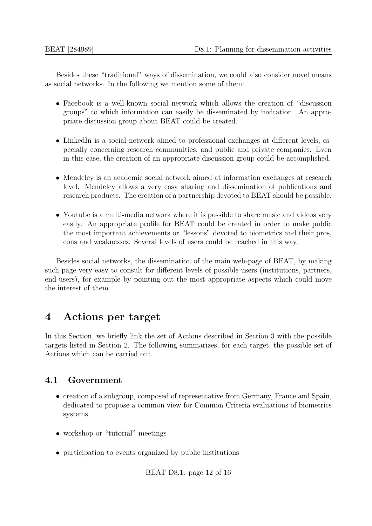Besides these "traditional" ways of dissemination, we could also consider novel means as social networks. In the following we mention some of them:

- Facebook is a well-known social network which allows the creation of "discussion groups" to which information can easily be disseminated by invitation. An appropriate discussion group about BEAT could be created.
- LinkedIn is a social network aimed to professional exchanges at different levels, especially concerning research communities, and public and private companies. Even in this case, the creation of an appropriate discussion group could be accomplished.
- Mendeley is an academic social network aimed at information exchanges at research level. Mendeley allows a very easy sharing and dissemination of publications and research products. The creation of a partnership devoted to BEAT should be possible.
- Youtube is a multi-media network where it is possible to share music and videos very easily. An appropriate profile for BEAT could be created in order to make public the most important achievements or "lessons" devoted to biometrics and their pros, cons and weaknesses. Several levels of users could be reached in this way.

Besides social networks, the dissemination of the main web-page of BEAT, by making such page very easy to consult for different levels of possible users (institutions, partners, end-users), for example by pointing out the most appropriate aspects which could move the interest of them.

## <span id="page-11-0"></span>4 Actions per target

In this Section, we briefly link the set of Actions described in Section 3 with the possible targets listed in Section 2. The following summarizes, for each target, the possible set of Actions which can be carried out.

#### <span id="page-11-1"></span>4.1 Government

- creation of a subgroup, composed of representative from Germany, France and Spain, dedicated to propose a common view for Common Criteria evaluations of biometrics systems
- workshop or "tutorial" meetings
- participation to events organized by public institutions

BEAT D8.1: page 12 of [16](#page-15-0)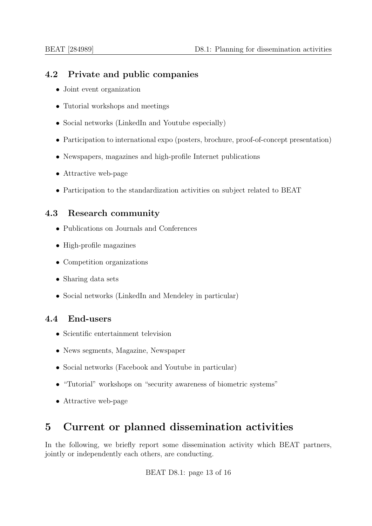#### <span id="page-12-0"></span>4.2 Private and public companies

- Joint event organization
- Tutorial workshops and meetings
- Social networks (LinkedIn and Youtube especially)
- Participation to international expo (posters, brochure, proof-of-concept presentation)
- Newspapers, magazines and high-profile Internet publications
- Attractive web-page
- Participation to the standardization activities on subject related to BEAT

#### <span id="page-12-1"></span>4.3 Research community

- Publications on Journals and Conferences
- High-profile magazines
- Competition organizations
- Sharing data sets
- Social networks (LinkedIn and Mendeley in particular)

#### <span id="page-12-2"></span>4.4 End-users

- Scientific entertainment television
- News segments, Magazine, Newspaper
- Social networks (Facebook and Youtube in particular)
- "Tutorial" workshops on "security awareness of biometric systems"
- Attractive web-page

## <span id="page-12-3"></span>5 Current or planned dissemination activities

In the following, we briefly report some dissemination activity which BEAT partners, jointly or independently each others, are conducting.

BEAT D8.1: page 13 of [16](#page-15-0)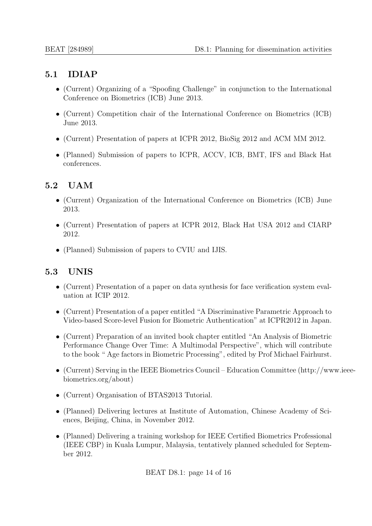#### <span id="page-13-0"></span>5.1 IDIAP

- (Current) Organizing of a "Spoofing Challenge" in conjunction to the International Conference on Biometrics (ICB) June 2013.
- (Current) Competition chair of the International Conference on Biometrics (ICB) June 2013.
- (Current) Presentation of papers at ICPR 2012, BioSig 2012 and ACM MM 2012.
- (Planned) Submission of papers to ICPR, ACCV, ICB, BMT, IFS and Black Hat conferences.

### <span id="page-13-1"></span>5.2 UAM

- (Current) Organization of the International Conference on Biometrics (ICB) June 2013.
- (Current) Presentation of papers at ICPR 2012, Black Hat USA 2012 and CIARP 2012.
- (Planned) Submission of papers to CVIU and IJIS.

### <span id="page-13-2"></span>5.3 UNIS

- (Current) Presentation of a paper on data synthesis for face verification system evaluation at ICIP 2012.
- (Current) Presentation of a paper entitled "A Discriminative Parametric Approach to Video-based Score-level Fusion for Biometric Authentication" at ICPR2012 in Japan.
- (Current) Preparation of an invited book chapter entitled "An Analysis of Biometric Performance Change Over Time: A Multimodal Perspective", which will contribute to the book " Age factors in Biometric Processing", edited by Prof Michael Fairhurst.
- (Current) Serving in the IEEE Biometrics Council Education Committee (http://www.ieeebiometrics.org/about)
- (Current) Organisation of BTAS2013 Tutorial.
- (Planned) Delivering lectures at Institute of Automation, Chinese Academy of Sciences, Beijing, China, in November 2012.
- (Planned) Delivering a training workshop for IEEE Certified Biometrics Professional (IEEE CBP) in Kuala Lumpur, Malaysia, tentatively planned scheduled for September 2012.

BEAT D8.1: page 14 of [16](#page-15-0)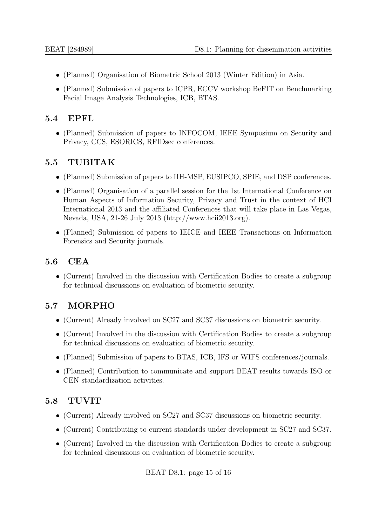- (Planned) Organisation of Biometric School 2013 (Winter Edition) in Asia.
- (Planned) Submission of papers to ICPR, ECCV workshop BeFIT on Benchmarking Facial Image Analysis Technologies, ICB, BTAS.

#### <span id="page-14-0"></span>5.4 EPFL

• (Planned) Submission of papers to INFOCOM, IEEE Symposium on Security and Privacy, CCS, ESORICS, RFIDsec conferences.

#### <span id="page-14-1"></span>5.5 TUBITAK

- (Planned) Submission of papers to IIH-MSP, EUSIPCO, SPIE, and DSP conferences.
- (Planned) Organisation of a parallel session for the 1st International Conference on Human Aspects of Information Security, Privacy and Trust in the context of HCI International 2013 and the affiliated Conferences that will take place in Las Vegas, Nevada, USA, 21-26 July 2013 (http://www.hcii2013.org).
- (Planned) Submission of papers to IEICE and IEEE Transactions on Information Forensics and Security journals.

#### <span id="page-14-2"></span>5.6 CEA

• (Current) Involved in the discussion with Certification Bodies to create a subgroup for technical discussions on evaluation of biometric security.

### <span id="page-14-3"></span>5.7 MORPHO

- (Current) Already involved on SC27 and SC37 discussions on biometric security.
- (Current) Involved in the discussion with Certification Bodies to create a subgroup for technical discussions on evaluation of biometric security.
- (Planned) Submission of papers to BTAS, ICB, IFS or WIFS conferences/journals.
- (Planned) Contribution to communicate and support BEAT results towards ISO or CEN standardization activities.

### <span id="page-14-4"></span>5.8 TUVIT

- (Current) Already involved on SC27 and SC37 discussions on biometric security.
- (Current) Contributing to current standards under development in SC27 and SC37.
- (Current) Involved in the discussion with Certification Bodies to create a subgroup for technical discussions on evaluation of biometric security.

BEAT D8.1: page 15 of [16](#page-15-0)